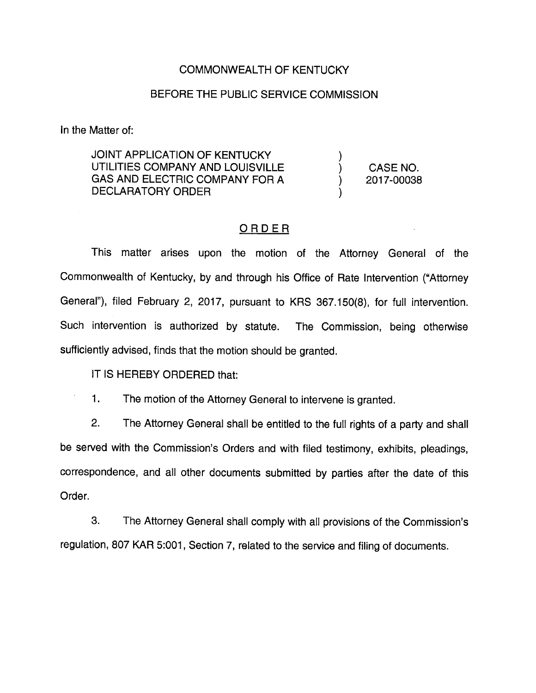## COMMONWEALTH OF KENTUCKY

## BEFORE THE PUBLIC SERVICE COMMISSION

In the Matter of:

JOINT APPLICATION OF KENTUCKY UTILITIES COMPANY AND LOUISVILLE ) CASE NO. GAS AND ELECTRIC COMPANY FOR A (2017-00038) DECLARATORY ORDER

## ORDER

This matter arises upon the motion of the Attorney General of the Commonwealth of Kentucky, by and through his Office of Rate Intervention ("Attorney General"), filed February 2, 2017, pursuant to KRS 367.150(8), for full intervention. Such intervention is authorized by statute. The Commission, being otherwise sufficiently advised, finds that the motion should be granted.

IT IS HEREBY ORDERED that:

1. The motion of the Attomey General to intervene is granted.

2. The Attomey General shall be entitled to the full rights of a party and shall be served with the Commission's Orders and with filed testimony, exhibits, pleadings, correspondence, and all other documents submitted by parties after the date of this Order.

3. The Attomey General shall comply with all provisions of the Commission's regulation, 807 KAR 5:001, Section 7, related to the service and filing of documents.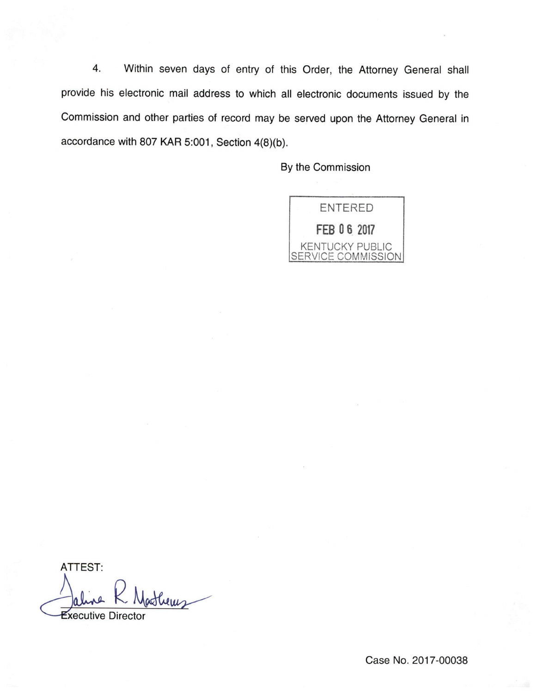4. Within seven days of entry of this Order, the Attorney General shall provide his electronic mail address to which all electronic documents issued by the Commission and other parties of record may be served upon the Attorney General in accordance with 807 KAR 5:001, Section 4(8)(b).

By the Commission



ATTEST: thems **Executive Director** 

Case No. 2017-00038